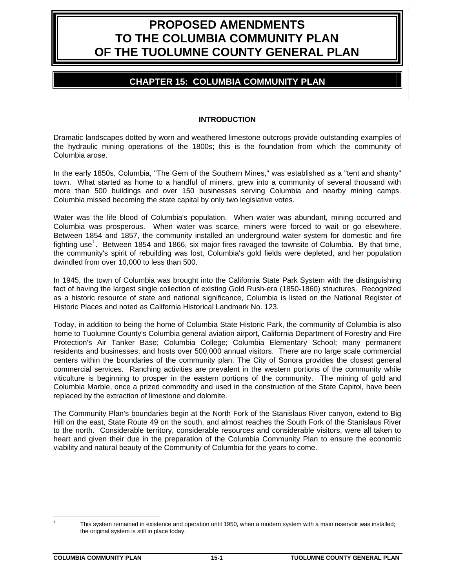# **PROPOSED AMENDMENTS TO THE COLUMBIA COMMUNITY PLAN OF THE TUOLUMNE COUNTY GENERAL PLAN**

## **CHAPTER 15: COLUMBIA COMMUNITY PLAN**

## **INTRODUCTION**

Dramatic landscapes dotted by worn and weathered limestone outcrops provide outstanding examples of the hydraulic mining operations of the 1800s; this is the foundation from which the community of Columbia arose.

In the early 1850s, Columbia, "The Gem of the Southern Mines," was established as a "tent and shanty" town. What started as home to a handful of miners, grew into a community of several thousand with more than 500 buildings and over 150 businesses serving Columbia and nearby mining camps. Columbia missed becoming the state capital by only two legislative votes.

Water was the life blood of Columbia's population. When water was abundant, mining occurred and Columbia was prosperous. When water was scarce, miners were forced to wait or go elsewhere. Between 1854 and 1857, the community installed an underground water system for domestic and fire fighting use<sup>[1](#page-0-0)</sup>. Between 1854 and 1866, six major fires ravaged the townsite of Columbia. By that time, the community's spirit of rebuilding was lost, Columbia's gold fields were depleted, and her population dwindled from over 10,000 to less than 500.

In 1945, the town of Columbia was brought into the California State Park System with the distinguishing fact of having the largest single collection of existing Gold Rush-era (1850-1860) structures. Recognized as a historic resource of state and national significance, Columbia is listed on the National Register of Historic Places and noted as California Historical Landmark No. 123.

Today, in addition to being the home of Columbia State Historic Park, the community of Columbia is also home to Tuolumne County's Columbia general aviation airport, California Department of Forestry and Fire Protection's Air Tanker Base; Columbia College; Columbia Elementary School; many permanent residents and businesses; and hosts over 500,000 annual visitors. There are no large scale commercial centers within the boundaries of the community plan. The City of Sonora provides the closest general commercial services. Ranching activities are prevalent in the western portions of the community while viticulture is beginning to prosper in the eastern portions of the community. The mining of gold and Columbia Marble, once a prized commodity and used in the construction of the State Capitol, have been replaced by the extraction of limestone and dolomite.

The Community Plan's boundaries begin at the North Fork of the Stanislaus River canyon, extend to Big Hill on the east, State Route 49 on the south, and almost reaches the South Fork of the Stanislaus River to the north. Considerable territory, considerable resources and considerable visitors, were all taken to heart and given their due in the preparation of the Columbia Community Plan to ensure the economic viability and natural beauty of the Community of Columbia for the years to come.

<span id="page-0-0"></span> $\overline{a}$ 1

This system remained in existence and operation until 1950, when a modern system with a main reservoir was installed; the original system is still in place today.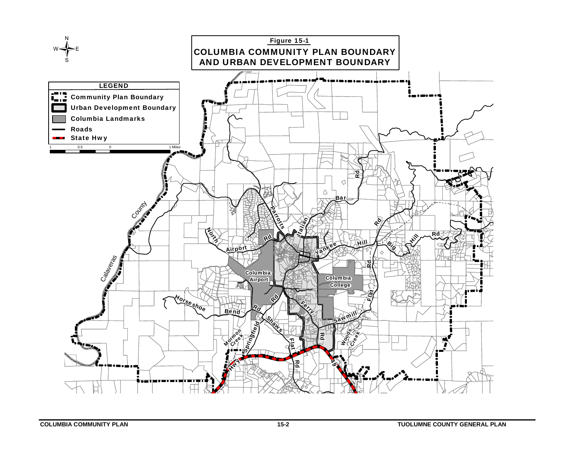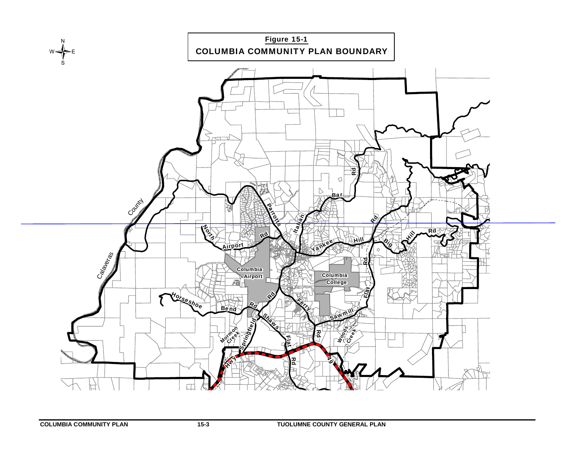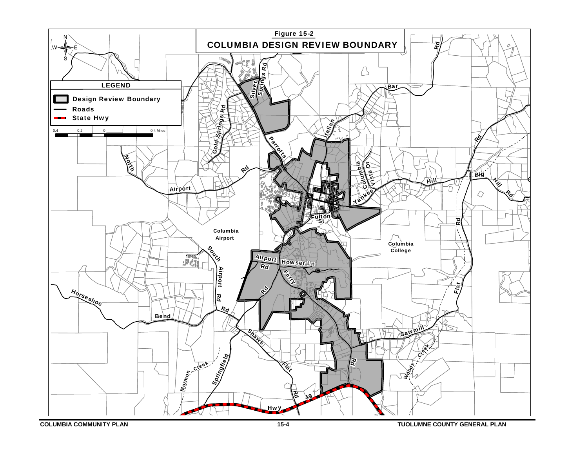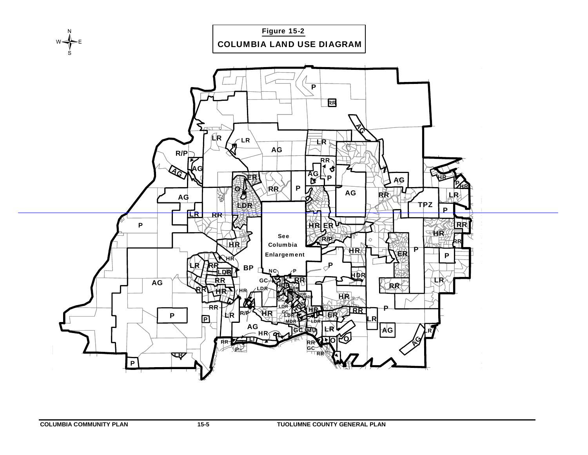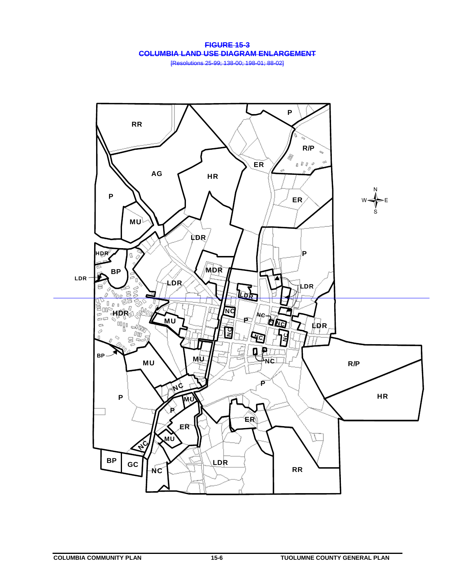**FIGURE 15-3 COLUMBIA LAND USE DIAGRAM ENLARGEMENT**

[Resolutions 25-99; 138-00; 198-01; 88-02]

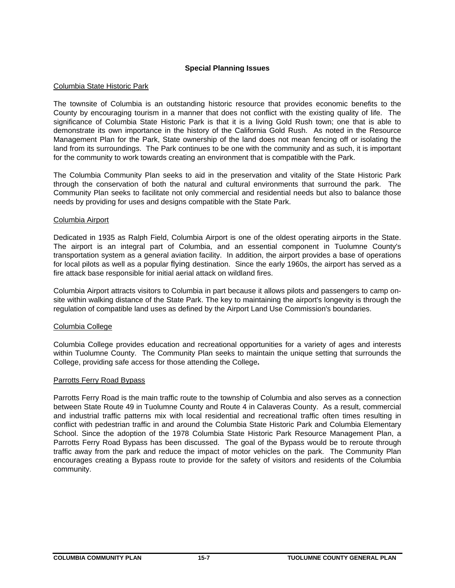## **Special Planning Issues**

## Columbia State Historic Park

The townsite of Columbia is an outstanding historic resource that provides economic benefits to the County by encouraging tourism in a manner that does not conflict with the existing quality of life. The significance of Columbia State Historic Park is that it is a living Gold Rush town; one that is able to demonstrate its own importance in the history of the California Gold Rush. As noted in the Resource Management Plan for the Park, State ownership of the land does not mean fencing off or isolating the land from its surroundings. The Park continues to be one with the community and as such, it is important for the community to work towards creating an environment that is compatible with the Park.

The Columbia Community Plan seeks to aid in the preservation and vitality of the State Historic Park through the conservation of both the natural and cultural environments that surround the park. The Community Plan seeks to facilitate not only commercial and residential needs but also to balance those needs by providing for uses and designs compatible with the State Park.

## Columbia Airport

Dedicated in 1935 as Ralph Field, Columbia Airport is one of the oldest operating airports in the State. The airport is an integral part of Columbia, and an essential component in Tuolumne County's transportation system as a general aviation facility. In addition, the airport provides a base of operations for local pilots as well as a popular flying destination. Since the early 1960s, the airport has served as a fire attack base responsible for initial aerial attack on wildland fires.

Columbia Airport attracts visitors to Columbia in part because it allows pilots and passengers to camp onsite within walking distance of the State Park. The key to maintaining the airport's longevity is through the regulation of compatible land uses as defined by the Airport Land Use Commission's boundaries.

## Columbia College

Columbia College provides education and recreational opportunities for a variety of ages and interests within Tuolumne County. The Community Plan seeks to maintain the unique setting that surrounds the College, providing safe access for those attending the College**.** 

## Parrotts Ferry Road Bypass

Parrotts Ferry Road is the main traffic route to the township of Columbia and also serves as a connection between State Route 49 in Tuolumne County and Route 4 in Calaveras County. As a result, commercial and industrial traffic patterns mix with local residential and recreational traffic often times resulting in conflict with pedestrian traffic in and around the Columbia State Historic Park and Columbia Elementary School. Since the adoption of the 1978 Columbia State Historic Park Resource Management Plan, a Parrotts Ferry Road Bypass has been discussed. The goal of the Bypass would be to reroute through traffic away from the park and reduce the impact of motor vehicles on the park. The Community Plan encourages creating a Bypass route to provide for the safety of visitors and residents of the Columbia community.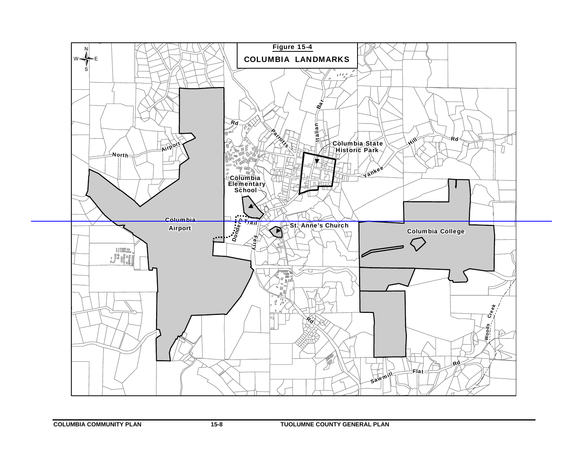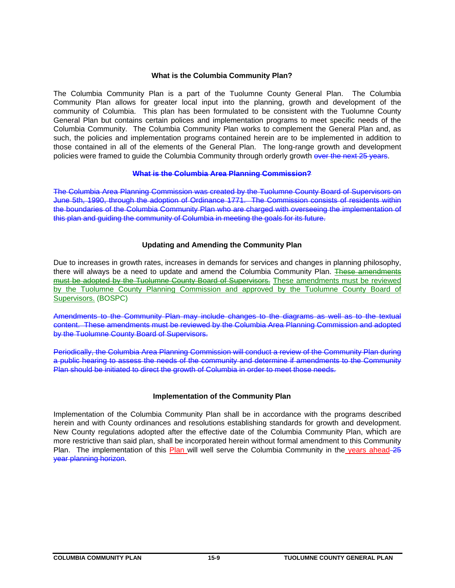## **What is the Columbia Community Plan?**

The Columbia Community Plan is a part of the Tuolumne County General Plan. The Columbia Community Plan allows for greater local input into the planning, growth and development of the community of Columbia. This plan has been formulated to be consistent with the Tuolumne County General Plan but contains certain polices and implementation programs to meet specific needs of the Columbia Community. The Columbia Community Plan works to complement the General Plan and, as such, the policies and implementation programs contained herein are to be implemented in addition to those contained in all of the elements of the General Plan. The long-range growth and development policies were framed to guide the Columbia Community through orderly growth over the next 25 years.

## **What is the Columbia Area Planning Commission?**

The Columbia Area Planning Commission was created by the Tuolumne County Board of Supervisors on June 5th, 1990, through the adoption of Ordinance 1771. The Commission consists of residents within the boundaries of the Columbia Community Plan who are charged with overseeing the implementation of this plan and guiding the community of Columbia in meeting the goals for its future.

## **Updating and Amending the Community Plan**

Due to increases in growth rates, increases in demands for services and changes in planning philosophy, there will always be a need to update and amend the Columbia Community Plan. These amendments must be adopted by the Tuolumne County Board of Supervisors. These amendments must be reviewed by the Tuolumne County Planning Commission and approved by the Tuolumne County Board of Supervisors. (BOSPC)

Amendments to the Community Plan may include changes to the diagrams as well as to the textual content. These amendments must be reviewed by the Columbia Area Planning Commission and adopted by the Tuolumne County Board of Supervisors.

Periodically, the Columbia Area Planning Commission will conduct a review of the Community Plan during a public hearing to assess the needs of the community and determine if amendments to the Community Plan should be initiated to direct the growth of Columbia in order to meet those needs.

## **Implementation of the Community Plan**

Implementation of the Columbia Community Plan shall be in accordance with the programs described herein and with County ordinances and resolutions establishing standards for growth and development. New County regulations adopted after the effective date of the Columbia Community Plan, which are more restrictive than said plan, shall be incorporated herein without formal amendment to this Community Plan. The implementation of this Plan will well serve the Columbia Community in the years ahead 25 year planning horizon.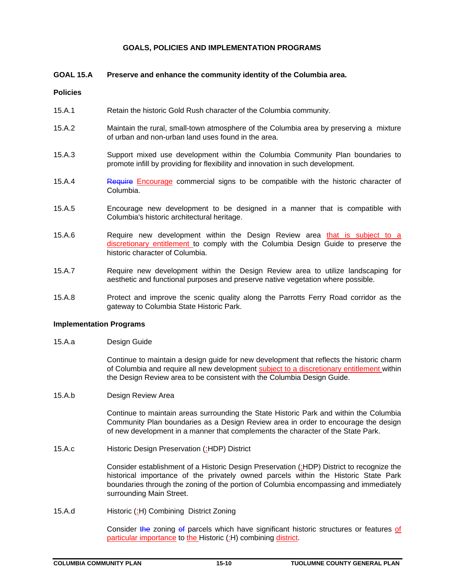## **GOALS, POLICIES AND IMPLEMENTATION PROGRAMS**

## **GOAL 15.A Preserve and enhance the community identity of the Columbia area.**

## **Policies**

- 15.A.1 Retain the historic Gold Rush character of the Columbia community.
- 15.A.2 Maintain the rural, small-town atmosphere of the Columbia area by preserving a mixture of urban and non-urban land uses found in the area.
- 15.A.3 Support mixed use development within the Columbia Community Plan boundaries to promote infill by providing for flexibility and innovation in such development.
- 15.A.4 Require Encourage commercial signs to be compatible with the historic character of Columbia.
- 15.A.5 Encourage new development to be designed in a manner that is compatible with Columbia's historic architectural heritage.
- 15.A.6 **Require new development within the Design Review area that is subject to a** discretionary entitlement to comply with the Columbia Design Guide to preserve the historic character of Columbia.
- 15.A.7 Require new development within the Design Review area to utilize landscaping for aesthetic and functional purposes and preserve native vegetation where possible.
- 15.A.8 Protect and improve the scenic quality along the Parrotts Ferry Road corridor as the gateway to Columbia State Historic Park.

## **Implementation Programs**

15.A.a Design Guide

Continue to maintain a design guide for new development that reflects the historic charm of Columbia and require all new development subject to a discretionary entitlement within the Design Review area to be consistent with the Columbia Design Guide.

15.A.b Design Review Area

Continue to maintain areas surrounding the State Historic Park and within the Columbia Community Plan boundaries as a Design Review area in order to encourage the design of new development in a manner that complements the character of the State Park.

15.A.c Historic Design Preservation (:HDP) District

Consider establishment of a Historic Design Preservation (:HDP) District to recognize the historical importance of the privately owned parcels within the Historic State Park boundaries through the zoning of the portion of Columbia encompassing and immediately surrounding Main Street.

15.A.d Historic (:H) Combining District Zoning

Consider the zoning of parcels which have significant historic structures or features of particular importance to the Historic (:H) combining district.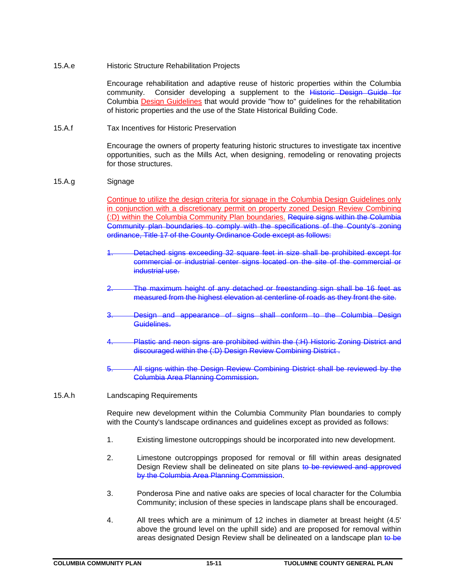15.A.e Historic Structure Rehabilitation Projects

Encourage rehabilitation and adaptive reuse of historic properties within the Columbia community. Consider developing a supplement to the Historic Design Guide for Columbia Design Guidelines that would provide "how to" guidelines for the rehabilitation of historic properties and the use of the State Historical Building Code.

15.A.f Tax Incentives for Historic Preservation

Encourage the owners of property featuring historic structures to investigate tax incentive opportunities, such as the Mills Act, when designing, remodeling or renovating projects for those structures.

## 15.A.g Signage

Continue to utilize the design criteria for signage in the Columbia Design Guidelines only in conjunction with a discretionary permit on property zoned Design Review Combining (:D) within the Columbia Community Plan boundaries. Require signs within the Columbia Community plan boundaries to comply with the specifications of the County's zoning ordinance, Title 17 of the County Ordinance Code except as follows:

- 1. Detached signs exceeding 32 square feet in size shall be prohibited except for commercial or industrial center signs located on the site of the commercial or industrial use.
- 2. The maximum height of any detached or freestanding sign shall be 16 feet as measured from the highest elevation at centerline of roads as they front the site.
- 3. Design and appearance of signs shall conform to the Columbia Design Guidelines.
- Plastic and neon signs are prohibited within the (:H) Historic Zoning District and discouraged within the (:D) Design Review Combining District .
- 5. All signs within the Design Review Combining District shall be reviewed by Columbia Area Planning Commission.

## 15.A.h Landscaping Requirements

Require new development within the Columbia Community Plan boundaries to comply with the County's landscape ordinances and guidelines except as provided as follows:

- 1. Existing limestone outcroppings should be incorporated into new development.
- 2. Limestone outcroppings proposed for removal or fill within areas designated Design Review shall be delineated on site plans to be reviewed and approved by the Columbia Area Planning Commission.
- 3. Ponderosa Pine and native oaks are species of local character for the Columbia Community; inclusion of these species in landscape plans shall be encouraged.
- 4. All trees which are a minimum of 12 inches in diameter at breast height (4.5' above the ground level on the uphill side) and are proposed for removal within areas designated Design Review shall be delineated on a landscape plan to be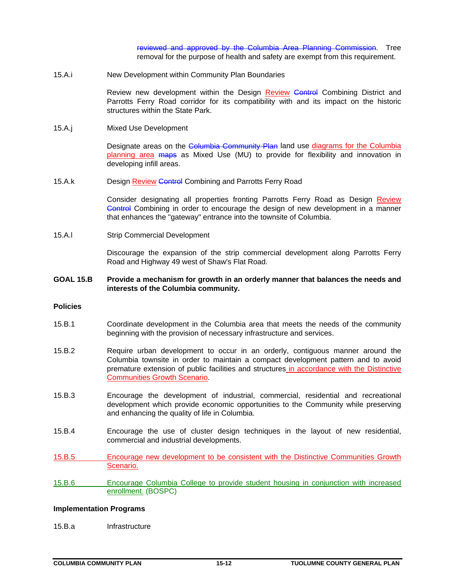reviewed and approved by the Columbia Area Planning Commission. Tree removal for the purpose of health and safety are exempt from this requirement.

15.A.i New Development within Community Plan Boundaries

Review new development within the Design Review Control Combining District and Parrotts Ferry Road corridor for its compatibility with and its impact on the historic structures within the State Park.

15.A.j Mixed Use Development

Designate areas on the Columbia Community Plan land use diagrams for the Columbia planning area maps as Mixed Use (MU) to provide for flexibility and innovation in developing infill areas.

15.A.k Design Review Control Combining and Parrotts Ferry Road

Consider designating all properties fronting Parrotts Ferry Road as Design Review Control Combining in order to encourage the design of new development in a manner that enhances the "gateway" entrance into the townsite of Columbia.

15.A.l Strip Commercial Development

Discourage the expansion of the strip commercial development along Parrotts Ferry Road and Highway 49 west of Shaw's Flat Road.

## **GOAL 15.B Provide a mechanism for growth in an orderly manner that balances the needs and interests of the Columbia community.**

#### **Policies**

- 15.B.1 Coordinate development in the Columbia area that meets the needs of the community beginning with the provision of necessary infrastructure and services.
- 15.B.2 Require urban development to occur in an orderly, contiguous manner around the Columbia townsite in order to maintain a compact development pattern and to avoid premature extension of public facilities and structures in accordance with the Distinctive Communities Growth Scenario.
- 15.B.3 Encourage the development of industrial, commercial, residential and recreational development which provide economic opportunities to the Community while preserving and enhancing the quality of life in Columbia.
- 15.B.4 Encourage the use of cluster design techniques in the layout of new residential, commercial and industrial developments.
- 15.B.5 Encourage new development to be consistent with the Distinctive Communities Growth Scenario.
- 15.B.6 Encourage Columbia College to provide student housing in conjunction with increased enrollment. (BOSPC)

#### **Implementation Programs**

15.B.a Infrastructure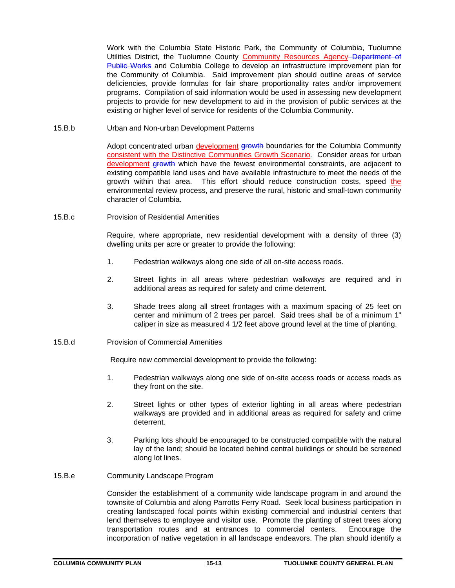Work with the Columbia State Historic Park, the Community of Columbia, Tuolumne Utilities District, the Tuolumne County Community Resources Agency-Department of Public Works and Columbia College to develop an infrastructure improvement plan for the Community of Columbia. Said improvement plan should outline areas of service deficiencies, provide formulas for fair share proportionality rates and/or improvement programs. Compilation of said information would be used in assessing new development projects to provide for new development to aid in the provision of public services at the existing or higher level of service for residents of the Columbia Community.

15.B.b Urban and Non-urban Development Patterns

Adopt concentrated urban development growth boundaries for the Columbia Community consistent with the Distinctive Communities Growth Scenario. Consider areas for urban development growth which have the fewest environmental constraints, are adjacent to existing compatible land uses and have available infrastructure to meet the needs of the growth within that area. This effort should reduce construction costs, speed the environmental review process, and preserve the rural, historic and small-town community character of Columbia.

15.B.c Provision of Residential Amenities

Require, where appropriate, new residential development with a density of three (3) dwelling units per acre or greater to provide the following:

- 1. Pedestrian walkways along one side of all on-site access roads.
- 2. Street lights in all areas where pedestrian walkways are required and in additional areas as required for safety and crime deterrent.
- 3. Shade trees along all street frontages with a maximum spacing of 25 feet on center and minimum of 2 trees per parcel. Said trees shall be of a minimum 1" caliper in size as measured 4 1/2 feet above ground level at the time of planting.
- 15.B.d Provision of Commercial Amenities

Require new commercial development to provide the following:

- 1. Pedestrian walkways along one side of on-site access roads or access roads as they front on the site.
- 2. Street lights or other types of exterior lighting in all areas where pedestrian walkways are provided and in additional areas as required for safety and crime deterrent.
- 3. Parking lots should be encouraged to be constructed compatible with the natural lay of the land; should be located behind central buildings or should be screened along lot lines.
- 15.B.e Community Landscape Program

Consider the establishment of a community wide landscape program in and around the townsite of Columbia and along Parrotts Ferry Road. Seek local business participation in creating landscaped focal points within existing commercial and industrial centers that lend themselves to employee and visitor use. Promote the planting of street trees along transportation routes and at entrances to commercial centers. Encourage the incorporation of native vegetation in all landscape endeavors. The plan should identify a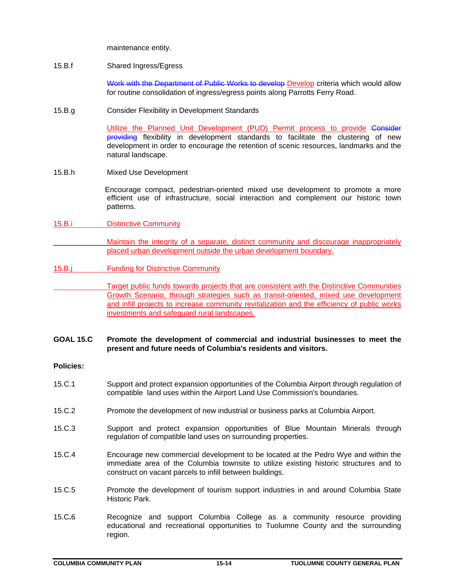maintenance entity.

15.B.f Shared Ingress/Egress

Work with the Department of Public Works to develop Develop criteria which would allow for routine consolidation of ingress/egress points along Parrotts Ferry Road.

15.B.g Consider Flexibility in Development Standards

Utilize the Planned Unit Development (PUD) Permit process to provide Consider providing flexibility in development standards to facilitate the clustering of new development in order to encourage the retention of scenic resources, landmarks and the natural landscape.

15.B.h Mixed Use Development

 Encourage compact, pedestrian-oriented mixed use development to promote a more efficient use of infrastructure, social interaction and complement our historic town patterns.

15.B.i Distinctive Community

Maintain the integrity of a separate, distinct community and discourage inappropriately placed urban development outside the urban development boundary.

15.B.j Funding for Distinctive Community

Target public funds towards projects that are consistent with the Distinctive Communities Growth Scenario, through strategies such as transit-oriented, mixed use development and infill projects to increase community revitalization and the efficiency of public works investments and safeguard rural landscapes.

**GOAL 15.C Promote the development of commercial and industrial businesses to meet the present and future needs of Columbia's residents and visitors.**

## **Policies:**

- 15.C.1 Support and protect expansion opportunities of the Columbia Airport through regulation of compatible land uses within the Airport Land Use Commission's boundaries.
- 15.C.2 Promote the development of new industrial or business parks at Columbia Airport.
- 15.C.3 Support and protect expansion opportunities of Blue Mountain Minerals through regulation of compatible land uses on surrounding properties.
- 15.C.4 Encourage new commercial development to be located at the Pedro Wye and within the immediate area of the Columbia townsite to utilize existing historic structures and to construct on vacant parcels to infill between buildings.
- 15.C.5 Promote the development of tourism support industries in and around Columbia State Historic Park.
- 15.C**.**6 Recognize and support Columbia College as a community resource providing educational and recreational opportunities to Tuolumne County and the surrounding region.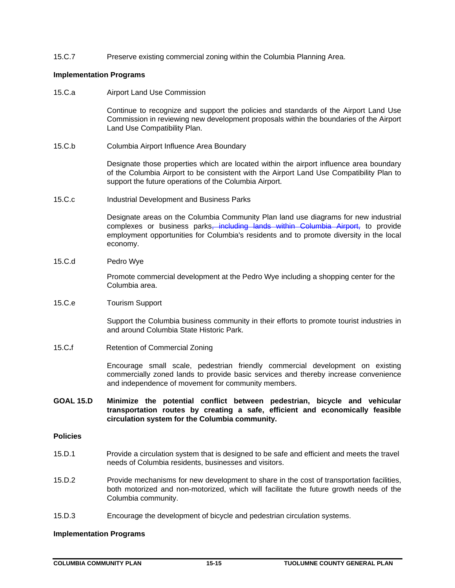15.C.7 Preserve existing commercial zoning within the Columbia Planning Area.

## **Implementation Programs**

15.C.a Airport Land Use Commission

Continue to recognize and support the policies and standards of the Airport Land Use Commission in reviewing new development proposals within the boundaries of the Airport Land Use Compatibility Plan.

15.C.b Columbia Airport Influence Area Boundary

Designate those properties which are located within the airport influence area boundary of the Columbia Airport to be consistent with the Airport Land Use Compatibility Plan to support the future operations of the Columbia Airport.

15.C.c Industrial Development and Business Parks

Designate areas on the Columbia Community Plan land use diagrams for new industrial complexes or business parks<del>, including lands within Columbia Airport,</del> to provide employment opportunities for Columbia's residents and to promote diversity in the local economy.

15.C.d Pedro Wye

Promote commercial development at the Pedro Wye including a shopping center for the Columbia area.

15.C.e Tourism Support

Support the Columbia business community in their efforts to promote tourist industries in and around Columbia State Historic Park.

15.C**.**fRetention of Commercial Zoning

Encourage small scale, pedestrian friendly commercial development on existing commercially zoned lands to provide basic services and thereby increase convenience and independence of movement for community members.

**GOAL 15.D Minimize the potential conflict between pedestrian, bicycle and vehicular transportation routes by creating a safe, efficient and economically feasible circulation system for the Columbia community.** 

## **Policies**

- 15.D.1 Provide a circulation system that is designed to be safe and efficient and meets the travel needs of Columbia residents, businesses and visitors.
- 15.D.2 Provide mechanisms for new development to share in the cost of transportation facilities, both motorized and non-motorized, which will facilitate the future growth needs of the Columbia community.
- 15.D.3 Encourage the development of bicycle and pedestrian circulation systems.

#### **Implementation Programs**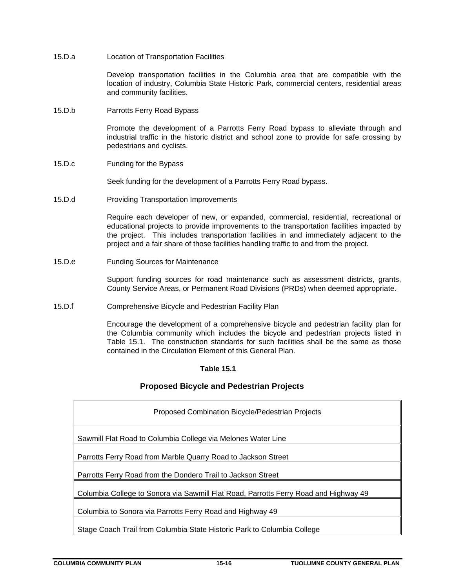15.D.a Location of Transportation Facilities

 Develop transportation facilities in the Columbia area that are compatible with the location of industry, Columbia State Historic Park, commercial centers, residential areas and community facilities.

15.D.b Parrotts Ferry Road Bypass

Promote the development of a Parrotts Ferry Road bypass to alleviate through and industrial traffic in the historic district and school zone to provide for safe crossing by pedestrians and cyclists.

15.D.c Funding for the Bypass

Seek funding for the development of a Parrotts Ferry Road bypass.

15.D.d Providing Transportation Improvements

Require each developer of new, or expanded, commercial, residential, recreational or educational projects to provide improvements to the transportation facilities impacted by the project. This includes transportation facilities in and immediately adjacent to the project and a fair share of those facilities handling traffic to and from the project.

15.D.e Funding Sources for Maintenance

Support funding sources for road maintenance such as assessment districts, grants, County Service Areas, or Permanent Road Divisions (PRDs) when deemed appropriate.

15.D.f Comprehensive Bicycle and Pedestrian Facility Plan

Encourage the development of a comprehensive bicycle and pedestrian facility plan for the Columbia community which includes the bicycle and pedestrian projects listed in Table 15.1. The construction standards for such facilities shall be the same as those contained in the Circulation Element of this General Plan.

## **Table 15.1**

## **Proposed Bicycle and Pedestrian Projects**

| Proposed Combination Bicycle/Pedestrian Projects                                     |
|--------------------------------------------------------------------------------------|
| Sawmill Flat Road to Columbia College via Melones Water Line                         |
| Parrotts Ferry Road from Marble Quarry Road to Jackson Street                        |
| Parrotts Ferry Road from the Dondero Trail to Jackson Street                         |
| Columbia College to Sonora via Sawmill Flat Road, Parrotts Ferry Road and Highway 49 |
| Columbia to Sonora via Parrotts Ferry Road and Highway 49                            |
| Stage Coach Trail from Columbia State Historic Park to Columbia College              |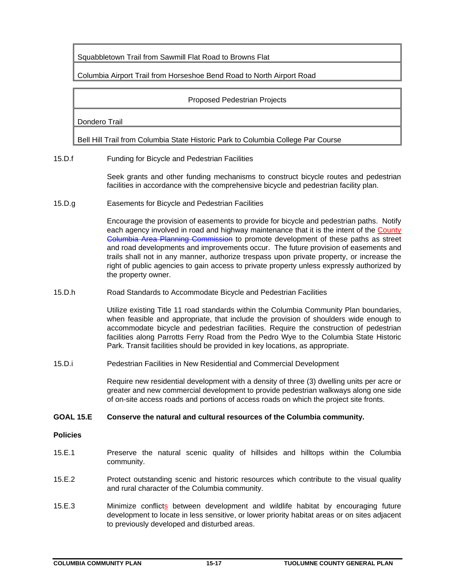Squabbletown Trail from Sawmill Flat Road to Browns Flat

Columbia Airport Trail from Horseshoe Bend Road to North Airport Road

## Proposed Pedestrian Projects

Dondero Trail

Bell Hill Trail from Columbia State Historic Park to Columbia College Par Course

15.D.f Funding for Bicycle and Pedestrian Facilities

Seek grants and other funding mechanisms to construct bicycle routes and pedestrian facilities in accordance with the comprehensive bicycle and pedestrian facility plan.

15.D.g Easements for Bicycle and Pedestrian Facilities

Encourage the provision of easements to provide for bicycle and pedestrian paths. Notify each agency involved in road and highway maintenance that it is the intent of the County Columbia Area Planning Commission to promote development of these paths as street and road developments and improvements occur. The future provision of easements and trails shall not in any manner, authorize trespass upon private property, or increase the right of public agencies to gain access to private property unless expressly authorized by the property owner.

15.D.h Road Standards to Accommodate Bicycle and Pedestrian Facilities

Utilize existing Title 11 road standards within the Columbia Community Plan boundaries, when feasible and appropriate, that include the provision of shoulders wide enough to accommodate bicycle and pedestrian facilities. Require the construction of pedestrian facilities along Parrotts Ferry Road from the Pedro Wye to the Columbia State Historic Park. Transit facilities should be provided in key locations, as appropriate.

15.D.i Pedestrian Facilities in New Residential and Commercial Development

Require new residential development with a density of three (3) dwelling units per acre or greater and new commercial development to provide pedestrian walkways along one side of on-site access roads and portions of access roads on which the project site fronts.

## **GOAL 15.E Conserve the natural and cultural resources of the Columbia community.**

## **Policies**

- 15.E.1 Preserve the natural scenic quality of hillsides and hilltops within the Columbia community.
- 15.E.2 Protect outstanding scenic and historic resources which contribute to the visual quality and rural character of the Columbia community.
- 15.E.3 Minimize conflicts between development and wildlife habitat by encouraging future development to locate in less sensitive, or lower priority habitat areas or on sites adjacent to previously developed and disturbed areas.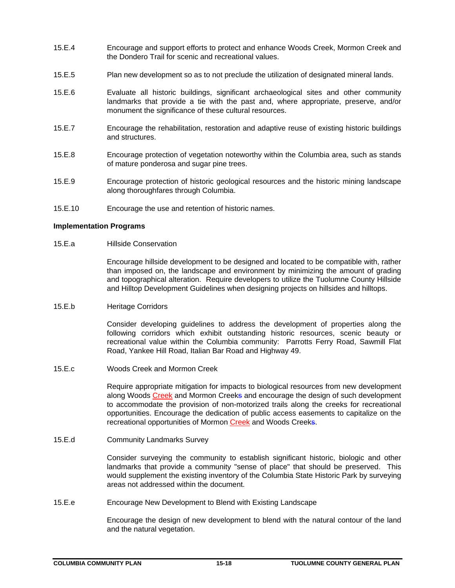- 15.E.4 Encourage and support efforts to protect and enhance Woods Creek, Mormon Creek and the Dondero Trail for scenic and recreational values.
- 15.E.5 Plan new development so as to not preclude the utilization of designated mineral lands.
- 15.E.6 Evaluate all historic buildings, significant archaeological sites and other community landmarks that provide a tie with the past and, where appropriate, preserve, and/or monument the significance of these cultural resources.
- 15.E.7 Encourage the rehabilitation, restoration and adaptive reuse of existing historic buildings and structures.
- 15.E.8 Encourage protection of vegetation noteworthy within the Columbia area, such as stands of mature ponderosa and sugar pine trees.
- 15.E.9 Encourage protection of historic geological resources and the historic mining landscape along thoroughfares through Columbia.
- 15.E.10 Encourage the use and retention of historic names.

## **Implementation Programs**

## 15.E.a Hillside Conservation

Encourage hillside development to be designed and located to be compatible with, rather than imposed on, the landscape and environment by minimizing the amount of grading and topographical alteration. Require developers to utilize the Tuolumne County Hillside and Hilltop Development Guidelines when designing projects on hillsides and hilltops.

## 15.E.b Heritage Corridors

Consider developing guidelines to address the development of properties along the following corridors which exhibit outstanding historic resources, scenic beauty or recreational value within the Columbia community: Parrotts Ferry Road, Sawmill Flat Road, Yankee Hill Road, Italian Bar Road and Highway 49.

15.E.c Woods Creek and Mormon Creek

Require appropriate mitigation for impacts to biological resources from new development along Woods Creek and Mormon Creeks and encourage the design of such development to accommodate the provision of non-motorized trails along the creeks for recreational opportunities. Encourage the dedication of public access easements to capitalize on the recreational opportunities of Mormon Creek and Woods Creeks.

## 15.E.d Community Landmarks Survey

Consider surveying the community to establish significant historic, biologic and other landmarks that provide a community "sense of place" that should be preserved. This would supplement the existing inventory of the Columbia State Historic Park by surveying areas not addressed within the document.

15.E.e Encourage New Development to Blend with Existing Landscape

Encourage the design of new development to blend with the natural contour of the land and the natural vegetation.